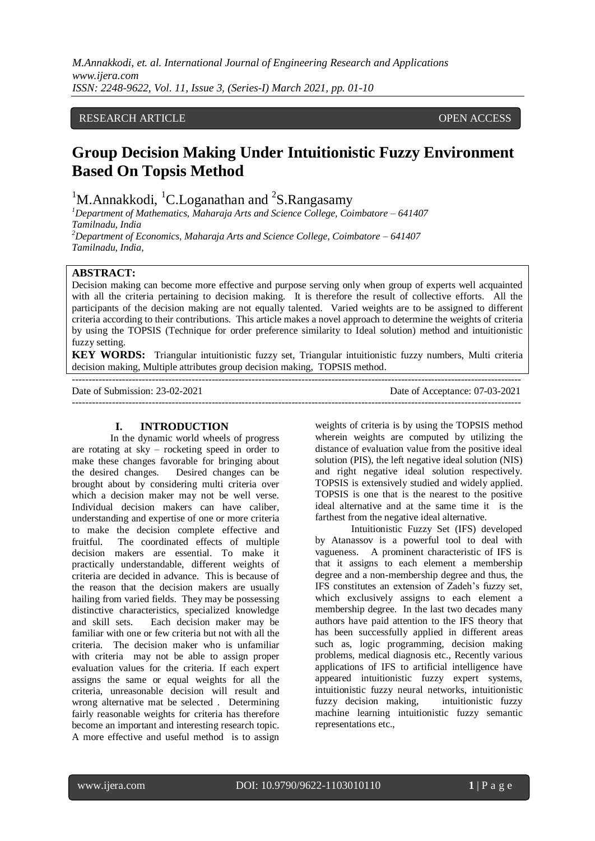*M.Annakkodi, et. al. International Journal of Engineering Research and Applications www.ijera.com ISSN: 2248-9622, Vol. 11, Issue 3, (Series-I) March 2021, pp. 01-10*

# RESEARCH ARTICLE **CONSERVERS** OPEN ACCESS

# **Group Decision Making Under Intuitionistic Fuzzy Environment Based On Topsis Method**

<sup>1</sup>M.Annakkodi, <sup>1</sup>C.Loganathan and <sup>2</sup>S.Rangasamy

*<sup>1</sup>Department of Mathematics, Maharaja Arts and Science College, Coimbatore – 641407 Tamilnadu, India <sup>2</sup>Department of Economics, Maharaja Arts and Science College, Coimbatore – 641407*

*Tamilnadu, India,*

# **ABSTRACT:**

Decision making can become more effective and purpose serving only when group of experts well acquainted with all the criteria pertaining to decision making. It is therefore the result of collective efforts. All the participants of the decision making are not equally talented. Varied weights are to be assigned to different criteria according to their contributions. This article makes a novel approach to determine the weights of criteria by using the TOPSIS (Technique for order preference similarity to Ideal solution) method and intuitionistic fuzzy setting.

**KEY WORDS:** Triangular intuitionistic fuzzy set, Triangular intuitionistic fuzzy numbers, Multi criteria decision making, Multiple attributes group decision making, TOPSIS method.

---------------------------------------------------------------------------------------------------------------------------------------

---------------------------------------------------------------------------------------------------------------------------------------

Date of Submission: 23-02-2021 Date of Acceptance: 07-03-2021

## **I. INTRODUCTION**

In the dynamic world wheels of progress are rotating at sky – rocketing speed in order to make these changes favorable for bringing about the desired changes. Desired changes can be brought about by considering multi criteria over which a decision maker may not be well verse. Individual decision makers can have caliber, understanding and expertise of one or more criteria to make the decision complete effective and fruitful. The coordinated effects of multiple decision makers are essential. To make it practically understandable, different weights of criteria are decided in advance. This is because of the reason that the decision makers are usually hailing from varied fields. They may be possessing distinctive characteristics, specialized knowledge and skill sets. Each decision maker may be familiar with one or few criteria but not with all the criteria. The decision maker who is unfamiliar with criteria may not be able to assign proper evaluation values for the criteria. If each expert assigns the same or equal weights for all the criteria, unreasonable decision will result and wrong alternative mat be selected . Determining fairly reasonable weights for criteria has therefore become an important and interesting research topic. A more effective and useful method is to assign

weights of criteria is by using the TOPSIS method wherein weights are computed by utilizing the distance of evaluation value from the positive ideal solution (PIS), the left negative ideal solution (NIS) and right negative ideal solution respectively. TOPSIS is extensively studied and widely applied. TOPSIS is one that is the nearest to the positive ideal alternative and at the same time it is the farthest from the negative ideal alternative.

Intuitionistic Fuzzy Set (IFS) developed by Atanassov is a powerful tool to deal with vagueness. A prominent characteristic of IFS is that it assigns to each element a membership degree and a non-membership degree and thus, the IFS constitutes an extension of Zadeh's fuzzy set, which exclusively assigns to each element a membership degree. In the last two decades many authors have paid attention to the IFS theory that has been successfully applied in different areas such as, logic programming, decision making problems, medical diagnosis etc., Recently various applications of IFS to artificial intelligence have appeared intuitionistic fuzzy expert systems, intuitionistic fuzzy neural networks, intuitionistic fuzzy decision making, intuitionistic fuzzy machine learning intuitionistic fuzzy semantic representations etc.,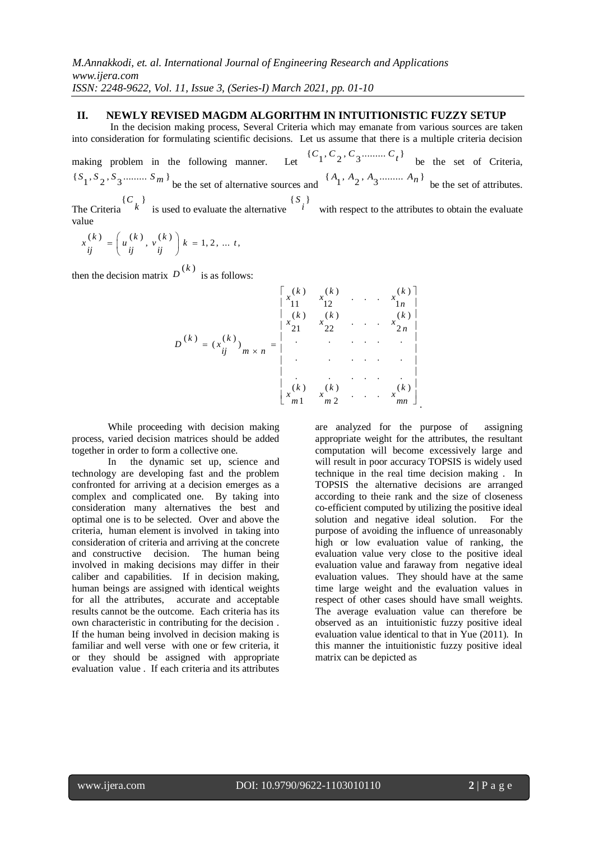## **II. NEWLY REVISED MAGDM ALGORITHM IN INTUITIONISTIC FUZZY SETUP**

In the decision making process, Several Criteria which may emanate from various sources are taken into consideration for formulating scientific decisions. Let us assume that there is a multiple criteria decision

making problem in the following manner. Let  ${C_1, C_2, C_3 \dots \dots \dots C_t}$ be the set of Criteria,  $\{S_1, S_2, S_3 \dots \dots \dots S_m\}$  be the set of alternative sources and  ${A_1, A_2, A_3 \dots A_n}$ be the set of attributes. The Criteria  ${C_k}$ is used to evaluate the alternative  ${S_i}$ with respect to the attributes to obtain the evaluate value

$$
x_{ij}^{(k)}=\left(u_{ij}^{(k)},v_{ij}^{(k)}\right)k=1,2,\ldots t,
$$

then the decision matrix  $D^{(k)}$  is as follows:

$$
D^{(k)} = (x_{ij}^{(k)})_{m \times n} = \begin{bmatrix} x_{11}^{(k)} & x_{12}^{(k)} & \dots & x_{1n}^{(k)} \\ x_{11}^{(k)} & x_{12}^{(k)} & \dots & x_{1n}^{(k)} \\ x_{21}^{(k)} & x_{22}^{(k)} & \dots & x_{2n}^{(k)} \\ \vdots & \vdots & \ddots & \vdots & \vdots \\ x_{m1}^{(k)} & x_{m2}^{(k)} & \dots & x_{mn}^{(k)} \end{bmatrix}
$$

While proceeding with decision making process, varied decision matrices should be added together in order to form a collective one.

In the dynamic set up, science and technology are developing fast and the problem confronted for arriving at a decision emerges as a complex and complicated one. By taking into consideration many alternatives the best and optimal one is to be selected. Over and above the criteria, human element is involved in taking into consideration of criteria and arriving at the concrete and constructive decision. The human being involved in making decisions may differ in their caliber and capabilities. If in decision making, human beings are assigned with identical weights for all the attributes, accurate and acceptable results cannot be the outcome. Each criteria has its own characteristic in contributing for the decision . If the human being involved in decision making is familiar and well verse with one or few criteria, it or they should be assigned with appropriate evaluation value . If each criteria and its attributes

are analyzed for the purpose of assigning appropriate weight for the attributes, the resultant computation will become excessively large and will result in poor accuracy TOPSIS is widely used technique in the real time decision making . In TOPSIS the alternative decisions are arranged according to theie rank and the size of closeness co-efficient computed by utilizing the positive ideal solution and negative ideal solution. For the purpose of avoiding the influence of unreasonably high or low evaluation value of ranking, the evaluation value very close to the positive ideal evaluation value and faraway from negative ideal evaluation values. They should have at the same time large weight and the evaluation values in respect of other cases should have small weights. The average evaluation value can therefore be observed as an intuitionistic fuzzy positive ideal evaluation value identical to that in Yue (2011). In this manner the intuitionistic fuzzy positive ideal matrix can be depicted as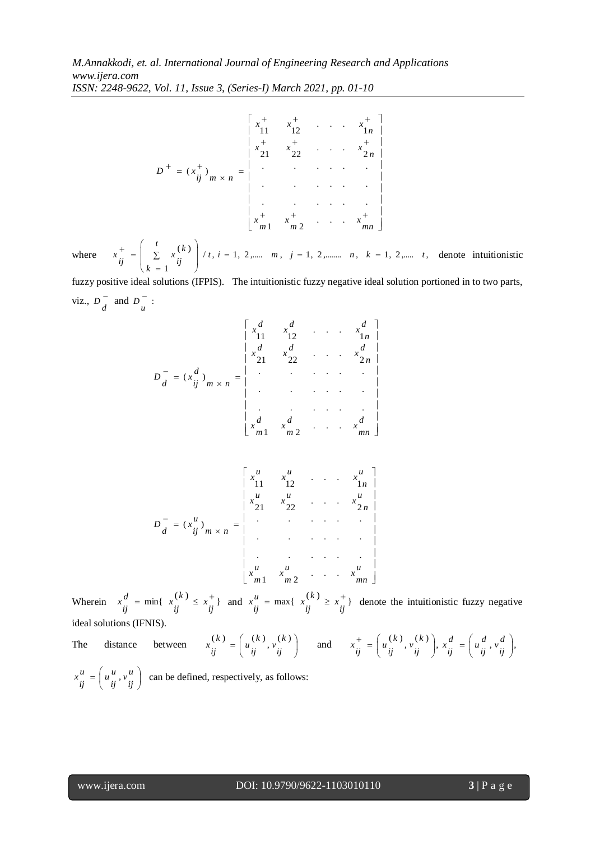$$
D^{+} = (x_{ij}^{+})_{m \times n} = \begin{bmatrix} x_{11}^{+} & x_{12}^{+} & \cdots & x_{1n}^{+} \\ x_{21}^{+} & x_{22}^{+} & \cdots & x_{2n}^{+} \\ \vdots & \vdots & \ddots & \vdots \\ x_{m1}^{+} & x_{m2}^{+} & \cdots & x_{mn}^{+} \end{bmatrix}
$$

where  $x_{1}^{\top} = \begin{vmatrix} 1 & 0 \\ 0 & x_{1} \end{vmatrix}$  / t, i = 1, 2,.....  $m, j = 1, 2,$ .......  $n, k = 1, 2,$ ..... t, 1  $\binom{k}{k}$  / t, i = 1, 2,..... m, j = 1, 2,........ n, k = 1, 2,..... *t k k*  $x_{ij}^{\dagger} = \begin{bmatrix} \sum x_{ij}^{(k)} \end{bmatrix} / t, i = 1, 2, \dots, m, j = 1, 2, \dots, n, k =$  $\overline{\phantom{a}}$ )  $\backslash$ I I l ſ Σ  $=$  $d_{11}^{+} = \begin{bmatrix} i \\ \sum x_{11}^{(k)} \end{bmatrix}$  / t, i = 1, 2,......  $m, j = 1, 2,$ ........  $n, k = 1, 2,$ ..... t, denote intuitionistic

fuzzy positive ideal solutions (IFPIS). The intuitionistic fuzzy negative ideal solution portioned in to two parts, viz.,  $D^{-}$  $D\begin{bmatrix} 1 \end{bmatrix}$  and  $D\begin{bmatrix} 1 \end{bmatrix}$ : *u D*

$$
D_{d}^{-} = (x_{ij}^{d})_{m \times n} = \begin{vmatrix} x_{11}^{d} & x_{12}^{d} & \cdots & x_{1n}^{d} \\ x_{21}^{d} & x_{22}^{d} & \cdots & x_{2n}^{d} \\ \vdots & \vdots & \ddots & \vdots \\ x_{m1}^{d} & x_{m2}^{d} & \cdots & x_{mn}^{d} \end{vmatrix}
$$

$$
D_{d}^{-} = (x_{ij}^{u})_{m \times n} = \begin{bmatrix} x_{11}^{u} & x_{12}^{u} & \cdots & x_{1n}^{u} \\ x_{21}^{u} & x_{22}^{u} & \cdots & x_{2n}^{u} \\ \vdots & \vdots & \ddots & \vdots \\ x_{m1}^{u} & x_{m2}^{u} & \cdots & x_{mn}^{u} \end{bmatrix}
$$

Wherein  $x_{ij}^d = \min\{x_{ij}^{(k)} \le x_{ij}^+\}$  $\frac{d}{ij}$  = min{  $x \frac{d}{ij}$  $x_{ij}^d = \min\{x_{ij}^{(k)} \le x_{ij}^+\}$  and  $x_{ij}^u = \max\{x_{ij}^{(k)} \ge x_{ij}^+\}$  $\frac{u}{ij}$  = max{  $x \frac{v}{ij}$  $x_i^{\mu}$  = max{ $x_i^{\mu} \ge x_j^{\tau}$ } denote the intuitionistic fuzzy negative *ij* ideal solutions (IFNIS).

The distance between  $x_{ij}^{(k)} = \begin{bmatrix} u_{ij}^{(k)}, v_{ij}^{(k)} \\ u_{ij}^{(k)} \end{bmatrix}$  $\left(u_{ij}^{(k)}, v_{ij}^{(k)}\right)$  $(k) = \left( u \cdot k \right)$ ,  $v \cdot k$ *k*)<sub>,  $v$ </sub><sub>*ij*</sub>  $\begin{cases} k \end{cases} = \begin{cases} u \begin{cases} i \\ ij \end{cases} \end{cases}$  $x_{ij}^{(k)} = \left(u_{ij}^{(k)}, v_{ij}^{(k)}\right)$  and  $x_{ij}^{+} = \left(u_{ij}^{(k)}, v_{ij}^{(k)}\right), x_{ij}^{d} = \left(u_{ij}^{d}, v_{ij}^{d}\right)$  $\overline{\phantom{a}}$  $\left(u\frac{d}{ij},v\frac{d}{ij}\right)$  $\bigg), \; x\frac{d}{ij} \; = \bigg($  $\left(u_{ij}^{(k)}, v_{ij}^{(k)}\right)$  $d_{\mu} = \left( u_{\mu}^{(k)}, v_{\mu}^{(k)} \right), x_{\mu}^{d} = \left( u_{\mu}^{d}, v_{\mu}^{d} \right)$ *ij v d*  $\begin{cases}\n d \\
ij\n\end{cases} =\n\begin{cases}\n u \\
ij\n\end{cases}$  $\binom{k}{i}$ ,  $x_{ij}^a$ *k*)<sub>,  $v$ </sub><sub>*ij*</sub>  $x_{ij}^{\dagger} = \begin{pmatrix} u_{ij}^{\dagger} \\ u_{ij}^{\dagger} \end{pmatrix}$ 

 $\int$  $\left(u\frac{u}{ij},v\frac{u}{ij}\right)$  $=\left(u^u, v^u\right)$ *ij v u*  $\frac{u}{ij} = \left(u\frac{u}{ij}\right)$  $x_{ij}^u = \left(u_{ij}^u, v_{ij}^u\right)$  can be defined, respectively, as follows: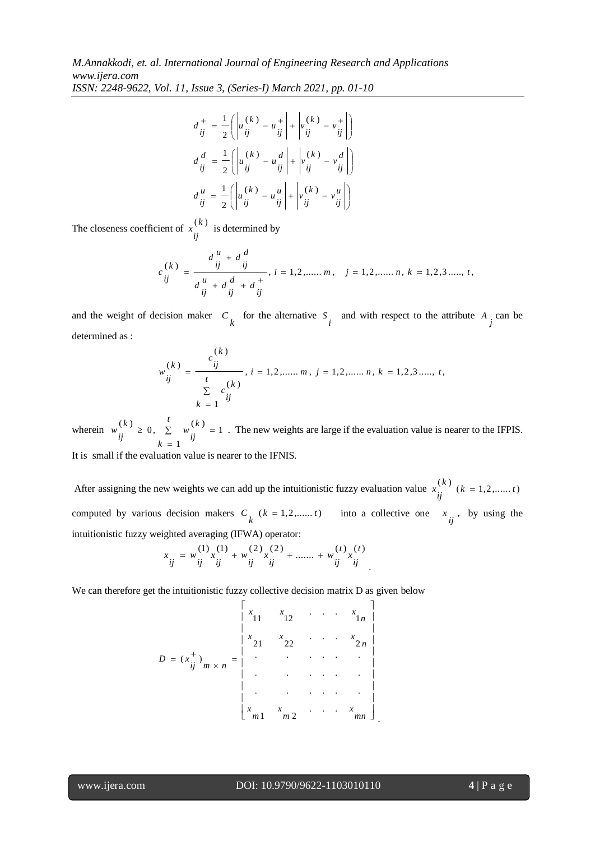$$
d_{ij}^+ = \frac{1}{2} \left( \left| u_{ij}^{(k)} - u_{ij}^+ \right| + \left| v_{ij}^{(k)} - v_{ij}^+ \right| \right)
$$
  

$$
d_{ij}^d = \frac{1}{2} \left( \left| u_{ij}^{(k)} - u_{ij}^d \right| + \left| v_{ij}^{(k)} - v_{ij}^d \right| \right)
$$
  

$$
d_{ij}^u = \frac{1}{2} \left( \left| u_{ij}^{(k)} - u_{ij}^u \right| + \left| v_{ij}^{(k)} - v_{ij}^u \right| \right)
$$

The closeness coefficient of  $x^{(k)}$  $\left(\begin{array}{c} x \\ i \end{array}\right)$  is determined by

$$
c_{ij}^{(k)} = \frac{d_{ij}^{u} + d_{ij}^{d}}{d_{ij}^{u} + d_{ij}^{d} + d_{ij}^{+}}, i = 1, 2, \dots, m, \quad j = 1, 2, \dots, n, k = 1, 2, 3, \dots, t,
$$

and the weight of decision maker  $C_k$  for the alternative  $S_i$  and with respect to the attribute  $A_j$  can be determined as :

$$
w_{ij}^{(k)} = \frac{c_{ij}^{(k)}}{t \sum\limits_{k=1}^{t} c_{ij}^{(k)}}, i = 1, 2, \dots, m, j = 1, 2, \dots, n, k = 1, 2, 3, \dots, t, k = 1, 2, 3, \dots, t
$$

wherein  $w_n^{(n)} \geq 0$ ,  $\Sigma$  $=$  $\geq 0, \sum_{w} w_{w}^{(w)}$ *t k k*  $\binom{k}{k} \geq 0$ ,  $\sum_{i=1}^{k} w_{ij}^{(i)}$ *ij w* 1  $\binom{k}{k}$   $\geq$  0,  $\sum_{k=1}^{k}$   $\frac{k}{k}$   $=$  1. The new weights are large if the evaluation value is nearer to the IFPIS.

It is small if the evaluation value is nearer to the IFNIS.

After assigning the new weights we can add up the intuitionistic fuzzy evaluation value  $x_i^{(k)}$  ( $k = 1, 2, \dots, t$ )  $\sum_{ij}^{(k)}$  (k = 1,2,......*t*) computed by various decision makers  $C_k$  ( $k = 1, 2, \dots, t$ ) into a collective one  $x_{ij}$ , by using the intuitionistic fuzzy weighted averaging (IFWA) operator:

$$
x_{ij} = w_{ij}^{(1)} x_{ij}^{(1)} + w_{ij}^{(2)} x_{ij}^{(2)} + \dots + w_{ij}^{(t)} x_{ij}^{(t)}
$$

We can therefore get the intuitionistic fuzzy collective decision matrix D as given below

$$
D = (x_{ij}^{+})_{m \times n} = \begin{vmatrix} x_{11} & x_{12} & \cdots & x_{1n} \\ x_{21} & x_{22} & \cdots & x_{2n} \\ \vdots & \vdots & \ddots & \vdots \\ x_{m1} & x_{m2} & \cdots & x_{mn} \end{vmatrix}
$$

l

.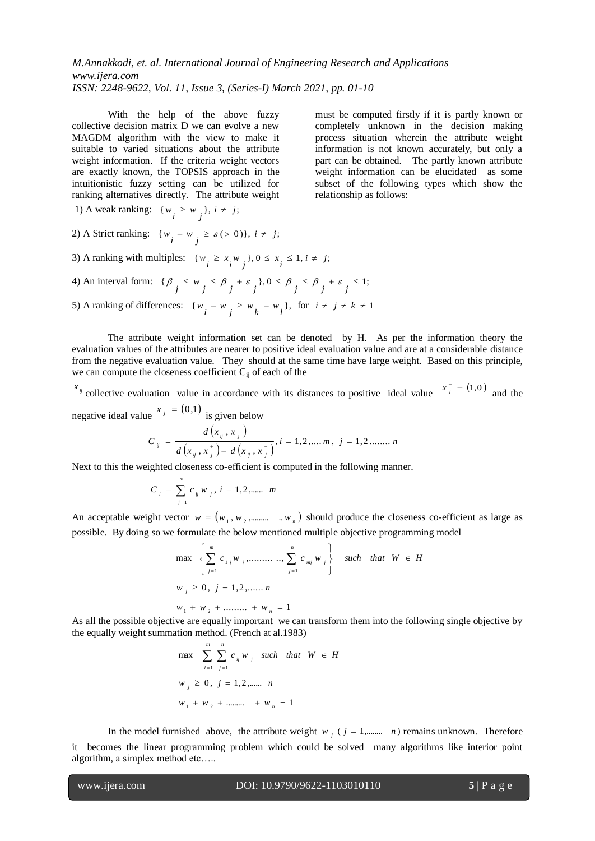With the help of the above fuzzy collective decision matrix D we can evolve a new MAGDM algorithm with the view to make it suitable to varied situations about the attribute weight information. If the criteria weight vectors are exactly known, the TOPSIS approach in the intuitionistic fuzzy setting can be utilized for ranking alternatives directly. The attribute weight must be computed firstly if it is partly known or completely unknown in the decision making process situation wherein the attribute weight information is not known accurately, but only a part can be obtained. The partly known attribute weight information can be elucidated as some subset of the following types which show the relationship as follows:

1) A weak ranking: 
$$
\{w_i \geq w_j\}, i \neq j;
$$

2) A Strict ranking:  $\{w_i - w_j \ge \varepsilon > 0\}$ ,  $i \ne j$ ;

3) A ranking with multiples:  $\{w_i \ge x_i w_j\}$ ,  $0 \le x_i \le 1$ ,  $i \ne j$ ;

4) An interval form: 
$$
{\beta_j \le w_j \le \beta_j + \varepsilon_j}, 0 \le \beta_j \le \beta_j + \varepsilon_j \le 1;
$$

5) A ranking of differences: 
$$
\{w_i - w_j \ge w_k - w_l\}
$$
, for  $i \neq j \neq k \neq 1$ 

The attribute weight information set can be denoted by H. As per the information theory the evaluation values of the attributes are nearer to positive ideal evaluation value and are at a considerable distance from the negative evaluation value. They should at the same time have large weight. Based on this principle, we can compute the closeness coefficient  $C_{ij}$  of each of the

 $x_{ij}$  collective evaluation value in accordance with its distances to positive ideal value  $x_j^+ = (1,0)$  and the negative ideal value  $x_j^{\dagger} = (0,1)$  $x_j^{\dagger} = (0,1)$  is given below i,

$$
C_{ij} = \frac{d(x_{ij}, x_j^{-})}{d(x_{ij}, x_j^{+}) + d(x_{ij}, x_j^{-})}, i = 1, 2, \dots, m, j = 1, 2, \dots, n
$$

Next to this the weighted closeness co-efficient is computed in the following manner.

$$
C_i = \sum_{j=1}^{m} c_{ij} w_j, i = 1, 2, \dots, m
$$

An acceptable weight vector  $w = (w_1, w_2, \dots, w_n)$  should produce the closeness co-efficient as large as possible. By doing so we formulate the below mentioned multiple objective programming model

$$
\max \left\{ \sum_{j=1}^{m} c_{1j} w_{j}, \dots \dots \dots \dots \sum_{j=1}^{n} c_{mj} w_{j} \right\} \text{ such that } W \in H
$$
  

$$
w_{j} \ge 0, j = 1, 2, \dots \dots n
$$
  

$$
w_{1} + w_{2} + \dots \dots + w_{n} = 1
$$

As all the possible objective are equally important we can transform them into the following single objective by the equally weight summation method. (French at al.1983)

$$
\max \sum_{i=1}^{m} \sum_{j=1}^{n} c_{ij} w_{j} \quad \text{such that} \quad W \in H
$$
  

$$
w_{j} \ge 0, \quad j = 1, 2, \dots \quad n
$$
  

$$
w_{1} + w_{2} + \dots + w_{n} = 1
$$

In the model furnished above, the attribute weight  $w_j$  ( $j = 1, \dots, n$ ) remains unknown. Therefore it becomes the linear programming problem which could be solved many algorithms like interior point algorithm, a simplex method etc…..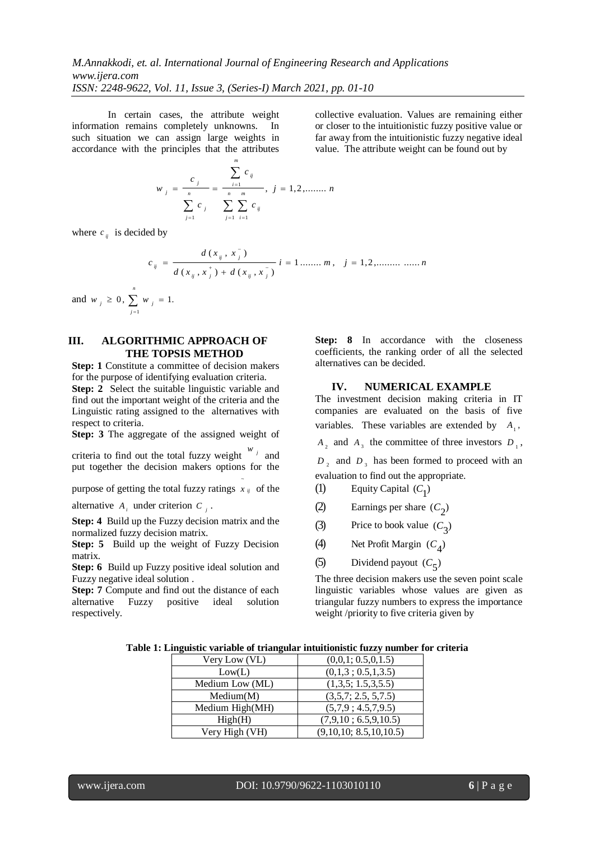In certain cases, the attribute weight information remains completely unknowns. In such situation we can assign large weights in accordance with the principles that the attributes

$$
w_{j} = \frac{c_{j}}{\sum_{j=1}^{n} c_{j}} = \frac{\sum_{i=1}^{m} c_{ij}}{\sum_{j=1}^{n} \sum_{i=1}^{m} c_{ij}}, j = 1, 2, \dots, n
$$

where  $c_{ij}$  is decided by

$$
c_{ij} = \frac{d(x_{ij}, x_j^{-})}{d(x_{ij}, x_j^{+}) + d(x_{ij}, x_j^{-})} i = 1 \dots \dots m, \quad j = 1, 2, \dots \dots \dots m
$$

and  $w_i \geq 0$ ,  $\sum w_i = 1$ .  $\sum_{j=1}$  $\geq 0, \sum w_i =$ *n j*  $w_{j} \ge 0, \sum w_{j}$ 

# **III. ALGORITHMIC APPROACH OF THE TOPSIS METHOD**

**Step: 1** Constitute a committee of decision makers for the purpose of identifying evaluation criteria. **Step: 2** Select the suitable linguistic variable and find out the important weight of the criteria and the Linguistic rating assigned to the alternatives with respect to criteria.

**Step: 3** The aggregate of the assigned weight of

criteria to find out the total fuzzy weight  $w_j$  and put together the decision makers options for the

purpose of getting the total fuzzy ratings  $x_{ij}$  of the ~

alternative  $A_i$  under criterion  $C_j$ .

**Step: 4** Build up the Fuzzy decision matrix and the normalized fuzzy decision matrix.

**Step: 5** Build up the weight of Fuzzy Decision matrix.

**Step: 6** Build up Fuzzy positive ideal solution and Fuzzy negative ideal solution .

**Step: 7** Compute and find out the distance of each alternative Fuzzy positive ideal solution respectively.

**Step: 8** In accordance with the closeness coefficients, the ranking order of all the selected alternatives can be decided.

collective evaluation. Values are remaining either or closer to the intuitionistic fuzzy positive value or far away from the intuitionistic fuzzy negative ideal value. The attribute weight can be found out by

## **IV. NUMERICAL EXAMPLE**

The investment decision making criteria in IT companies are evaluated on the basis of five variables. These variables are extended by  $A_1$ ,

 $A_2$  and  $A_3$  the committee of three investors  $D_1$ ,

 $D_2$  and  $D_3$  has been formed to proceed with an evaluation to find out the appropriate.

- (1) Equity Capital  $(C_1)$
- (2) Earnings per share  $(C_2)$
- (3) Price to book value  $(C_3)$
- (4) Net Profit Margin  $(C_4)$
- (5) Dividend payout  $(C_5)$

The three decision makers use the seven point scale linguistic variables whose values are given as triangular fuzzy numbers to express the importance weight /priority to five criteria given by

|  | Table 1: Linguistic variable of triangular intuitionistic fuzzy number for criteria |  |  |  |  |
|--|-------------------------------------------------------------------------------------|--|--|--|--|
|--|-------------------------------------------------------------------------------------|--|--|--|--|

| Very Low (VL)   | (0,0,1; 0.5,0,1.5)     |
|-----------------|------------------------|
| Low(L)          | (0,1,3; 0.5,1,3.5)     |
| Medium Low (ML) | (1,3,5; 1.5,3,5.5)     |
| Median(M)       | (3,5,7; 2.5, 5,7.5)    |
| Medium High(MH) | (5.7.9:4.5.7.9.5)      |
| High(H)         | (7,9,10; 6.5,9,10.5)   |
| Very High (VH)  | (9,10,10; 8.5,10,10.5) |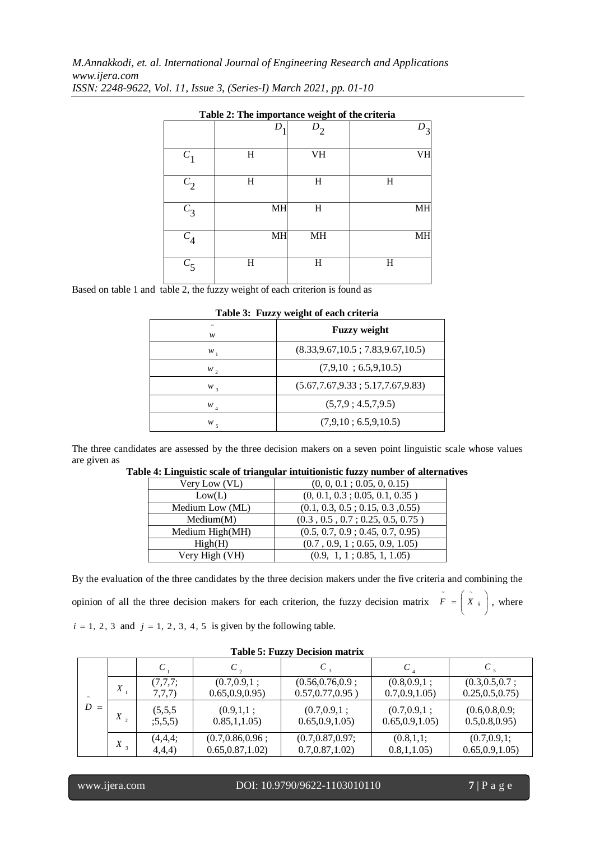*M.Annakkodi, et. al. International Journal of Engineering Research and Applications www.ijera.com ISSN: 2248-9622, Vol. 11, Issue 3, (Series-I) March 2021, pp. 01-10*

|         | <b>Table 2:</b> The importance weight of the criteria |           |    |
|---------|-------------------------------------------------------|-----------|----|
|         | D                                                     | $D_2$     |    |
| $C_{1}$ | H                                                     | <b>VH</b> | VH |
| $C_2$   | H                                                     | H         | H  |
| $C_3$   | MH                                                    | H         | MH |
| $C_4$   | MH                                                    | MH        | MH |
| $C_5$   | H                                                     | H         | H  |

**Table 2: The importance weight of the criteria**

Based on table 1 and table 2, the fuzzy weight of each criterion is found as

|         | <b>Table 5: Fuzzy weight of each criteria</b> |  |
|---------|-----------------------------------------------|--|
| w       | <b>Fuzzy</b> weight                           |  |
| w       | (8.33, 9.67, 10.5; 7.83, 9.67, 10.5)          |  |
| $w_{2}$ | (7.9.10:6.5.9.10.5)                           |  |
| $W_3$   | (5.67, 7.67, 9.33; 5.17, 7.67, 9.83)          |  |
| $W_{4}$ | (5.7.9:4.5.7.9.5)                             |  |
| $W_{5}$ | (7,9,10:6.5,9,10.5)                           |  |

# **Table 3: Fuzzy weight of each criteria**

The three candidates are assessed by the three decision makers on a seven point linguistic scale whose values are given as

| Very Low (VL)   | (0, 0, 0.1; 0.05, 0, 0.15)       |
|-----------------|----------------------------------|
| Low(L)          | (0, 0.1, 0.3; 0.05, 0.1, 0.35)   |
| Medium Low (ML) | (0.1, 0.3, 0.5; 0.15, 0.3, 0.55) |
| Median(M)       | (0.3, 0.5, 0.7; 0.25, 0.5, 0.75) |
| Medium High(MH) | (0.5, 0.7, 0.9; 0.45, 0.7, 0.95) |
| High(H)         | (0.7, 0.9, 1; 0.65, 0.9, 1.05)   |
| Very High (VH)  | (0.9, 1, 1; 0.85, 1, 1.05)       |

## **Table 4: Linguistic scale of triangular intuitionistic fuzzy number of alternatives**

By the evaluation of the three candidates by the three decision makers under the five criteria and combining the opinion of all the three decision makers for each criterion, the fuzzy decision matrix  $F = |X_{ij}|$ J  $\left(\begin{array}{cc} z \ X & y \end{array}\right)$ l  $\overline{F} = \begin{pmatrix} x \\ x \\ y \end{pmatrix}$ , where  $i = 1, 2, 3$  and  $j = 1, 2, 3, 4, 5$  is given by the following table.

|       |                  |                   |                                   | Table 9: Pully Decision matrix                |                                 |                                     |
|-------|------------------|-------------------|-----------------------------------|-----------------------------------------------|---------------------------------|-------------------------------------|
|       |                  |                   |                                   |                                               | C                               |                                     |
|       | X                | (7,7,7;<br>7,7,7) | (0.7, 0.9, 1;<br>0.65, 0.9, 0.95) | $(0.56, 0.76, 0.9)$ ;<br>$0.57, 0.77, 0.95$ ) | (0.8, 0.9, 1;<br>0.7, 0.9, 1.05 | (0.3, 0.5, 0.7;<br>0.25, 0.5, 0.75) |
|       |                  |                   |                                   |                                               |                                 |                                     |
| $D =$ | $X$ ,            | (5.5.5)           | (0.9,1,1;                         | (0.7, 0.9, 1;                                 | (0.7, 0.9, 1;                   | (0.6, 0.8, 0.9;                     |
|       |                  | (5,5,5)           | 0.85, 1, 1.05                     | 0.65, 0.9, 1.05)                              | 0.65, 0.9, 1.05)                | 0.5, 0.8, 0.95)                     |
|       | $\boldsymbol{X}$ | (4,4,4;           | (0.7, 0.86, 0.96;                 | (0.7, 0.87, 0.97;                             | (0.8, 1, 1;                     | (0.7, 0.9, 1;                       |
|       |                  | 4,4,4)            | 0.65, 0.87, 1.02)                 | 0.7, 0.87, 1.02                               | 0.8, 1, 1.05                    | 0.65, 0.9, 1.05)                    |

# **Table 5: Fuzzy Decision matrix**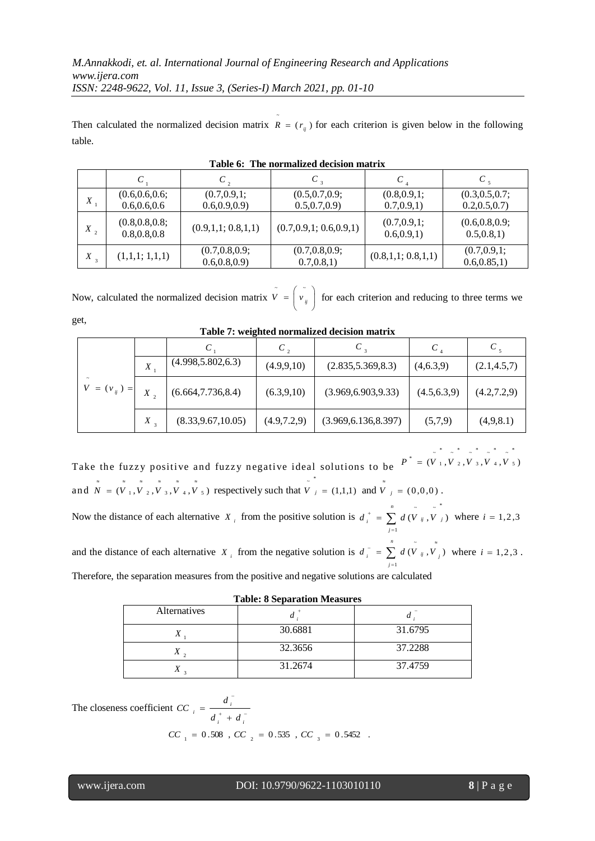Then calculated the normalized decision matrix  $R = (r_{ij})$  for each criterion is given below in the following ~ table.

|                  | $\,c\,$                          | $C_{2}$                          | $C$ ,                            |                               | $C$ ,                            |
|------------------|----------------------------------|----------------------------------|----------------------------------|-------------------------------|----------------------------------|
| X                | (0.6, 0.6, 0.6;<br>0.6, 0.6, 0.6 | (0.7, 0.9, 1;<br>0.6, 0.9, 0.9)  | (0.5, 0.7, 0.9;<br>0.5, 0.7, 0.9 | (0.8, 0.9, 1;<br>0.7, 0.9, 1) | (0.3, 0.5, 0.7)<br>0.2, 0.5, 0.7 |
| $X_{2}$          | (0.8, 0.8, 0.8;<br>0.8, 0.8, 0.8 | (0.9,1,1;0.8,1,1)                | (0.7, 0.9, 1; 0.6, 0.9, 1)       | (0.7, 0.9, 1;<br>0.6, 0.9, 1) | (0.6, 0.8, 0.9;<br>0.5, 0.8, 1)  |
| $X$ <sup>3</sup> | (1,1,1;1,1,1)                    | (0.7, 0.8, 0.9;<br>0.6, 0.8, 0.9 | (0.7, 0.8, 0.9;<br>0.7, 0.8, 1)  | (0.8,1,1;0.8,1,1)             | (0.7, 0.9, 1;<br>0.6, 0.85, 1)   |

| Table 6: The normalized decision matrix |  |  |  |  |
|-----------------------------------------|--|--|--|--|
|-----------------------------------------|--|--|--|--|

Now, calculated the normalized decision matrix  $V = |v_{ij}|$ J  $\begin{pmatrix} 1 \\ v_{ij} \end{pmatrix}$ l  $V = \begin{pmatrix} v \\ v_{ij} \end{pmatrix}$  for each criterion and reducing to three terms we

|                  |              |                     |               |                       | C             | $C_{\rm s}$   |
|------------------|--------------|---------------------|---------------|-----------------------|---------------|---------------|
|                  | X            | (4.998, 5.802, 6.3) | (4.9, 9, 10)  | (2.835, 5.369, 8.3)   | (4,6.3,9)     | (2.1, 4.5, 7) |
| $V = (v_{ij}) =$ | $X$ ,        | (6.664, 7.736, 8.4) | (6.3, 9, 10)  | (3.969, 6.903, 9.33)  | (4.5, 6.3, 9) | (4.2, 7.2, 9) |
|                  | $X_{\alpha}$ | (8.33, 9.67, 10.05) | (4.9, 7.2, 9) | (3.969, 6.136, 8.397) | (5,7,9)       | (4,9,8.1)     |

**Table 7: weighted normalized decision matrix**

Take the fuzzy positive and fuzzy negative ideal solutions to be  $P^{\top} = (V_1, V_2, V_3, V_4, V_5)$ 5 4 3 2 1  $P^* = (V_1, V_2, V_3, V_4, V_4)$ and  $\overline{N} = (\overline{V}_1, \overline{V}_2, \overline{V}_3, \overline{V}_4, \overline{V}_5)$  respectively such that  $\overline{V}_j = (1,1,1)$  and  $\overline{V}_j = (0,0,0)$ . \* *n*

Now the distance of each alternative  $X_i$  from the positive solution is  $d_i^* = \sum_{j=i}$  $\frac{1}{1}$  = *j*  $d_i^{\, \, *} \, = \, \sum \, d \, (V_{ij} \, , V_{ij} \, ,$ 1  $(\overline{V}_{ij}, \overline{V}_{j})$  where  $i = 1, 2, 3$ 

and the distance of each alternative  $X_i$  from the negative solution is  $d_i = \sum_{j=1}^{n} d_j$  $\overline{C} = \sum_{i=1}^{n} d(\overline{V}_{ij}, \overline{V})$ *n j*  $d_i^{\top} = \sum d(V_{ij}, V_{j})$ 1  $(\hat{V}_{ij}, \hat{V}_{i})$  where  $i = 1, 2, 3$ . Therefore, the separation measures from the positive and negative solutions are calculated

| Tabic. o Beparation inteasures |         |                            |  |  |  |
|--------------------------------|---------|----------------------------|--|--|--|
| Alternatives                   | $\iota$ | $\boldsymbol{\mathcal{U}}$ |  |  |  |
| $\lambda$                      | 30.6881 | 31.6795                    |  |  |  |
| Χ                              | 32.3656 | 37.2288                    |  |  |  |
| Λ                              | 31.2674 | 37.4759                    |  |  |  |

**Table: 8 Separation Measures**

The closeness coefficient  $CC_i = \frac{a_i}{t_i + a_i}$ i,  $^{+}$  $=$ *i i i*  $\int d^+ + d$ *d CC*  $CC_{1} = 0.508$  ,  $CC_{2} = 0.535$  ,  $CC_{3} = 0.5452$  .

l

get,

\*

~ \*

~ \*

~ \*

~ \*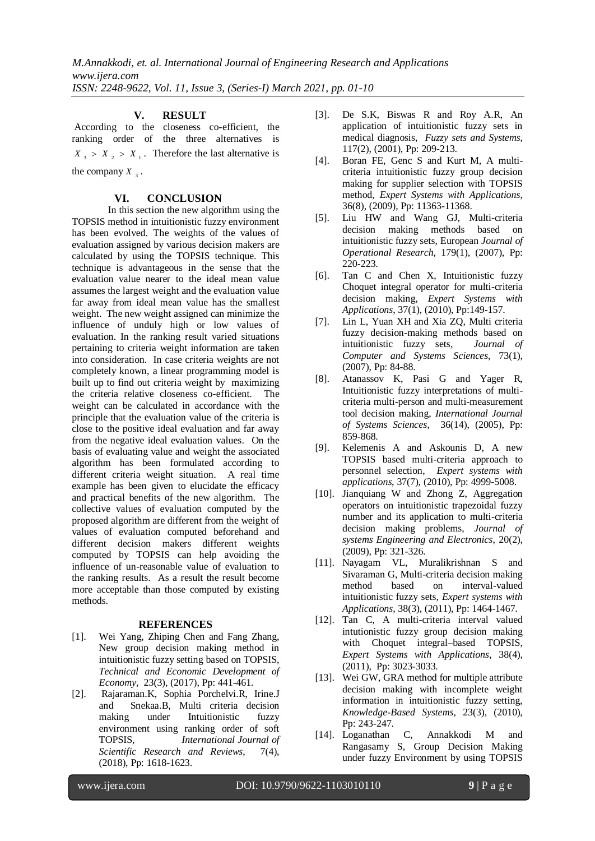## **V. RESULT**

According to the closeness co-efficient, the ranking order of the three alternatives is  $X_3 > X_2 > X_1$ . Therefore the last alternative is the company  $X_3$ .

### **VI. CONCLUSION**

In this section the new algorithm using the TOPSIS method in intuitionistic fuzzy environment has been evolved. The weights of the values of evaluation assigned by various decision makers are calculated by using the TOPSIS technique. This technique is advantageous in the sense that the evaluation value nearer to the ideal mean value assumes the largest weight and the evaluation value far away from ideal mean value has the smallest weight. The new weight assigned can minimize the influence of unduly high or low values of evaluation. In the ranking result varied situations pertaining to criteria weight information are taken into consideration. In case criteria weights are not completely known, a linear programming model is built up to find out criteria weight by maximizing the criteria relative closeness co-efficient. The weight can be calculated in accordance with the principle that the evaluation value of the criteria is close to the positive ideal evaluation and far away from the negative ideal evaluation values. On the basis of evaluating value and weight the associated algorithm has been formulated according to different criteria weight situation. A real time example has been given to elucidate the efficacy and practical benefits of the new algorithm. The collective values of evaluation computed by the proposed algorithm are different from the weight of values of evaluation computed beforehand and different decision makers different weights computed by TOPSIS can help avoiding the influence of un-reasonable value of evaluation to the ranking results. As a result the result become more acceptable than those computed by existing methods.

### **REFERENCES**

- [1]. Wei Yang, Zhiping Chen and Fang Zhang, New group decision making method in intuitionistic fuzzy setting based on TOPSIS, *Technical and Economic Development of Economy*, 23(3), (2017), Pp: 441-461.
- [2]. Rajaraman.K, Sophia Porchelvi.R, Irine.J and Snekaa.B, Multi criteria decision making under Intuitionistic fuzzy environment using ranking order of soft TOPSIS, *International Journal of Scientific Research and Reviews*, 7(4), (2018), Pp: 1618-1623.
- [3]. De S.K, Biswas R and Roy A.R, An application of intuitionistic fuzzy sets in medical diagnosis, *Fuzzy sets and Systems*, 117(2), (2001), Pp: 209-213.
- [4]. Boran FE, Genc S and Kurt M, A multicriteria intuitionistic fuzzy group decision making for supplier selection with TOPSIS method, *Expert Systems with Applications*, 36(8), (2009), Pp: 11363-11368.
- [5]. Liu HW and Wang GJ, Multi-criteria decision making methods based on intuitionistic fuzzy sets, European *Journal of Operational Research*, 179(1), (2007), Pp: 220-223.
- [6]. Tan C and Chen X, Intuitionistic fuzzy Choquet integral operator for multi-criteria decision making, *Expert Systems with Applications*, 37(1), (2010), Pp:149-157.
- [7]. Lin L, Yuan XH and Xia ZQ, Multi criteria fuzzy decision-making methods based on intuitionistic fuzzy sets, *Journal of Computer and Systems Sciences*, 73(1), (2007), Pp: 84-88.
- [8]. Atanassov K, Pasi G and Yager R, Intuitionistic fuzzy interpretations of multicriteria multi-person and multi-measurement tool decision making, *International Journal of Systems Sciences,* 36(14), (2005), Pp: 859-868.
- [9]. Kelemenis A and Askounis D, A new TOPSIS based multi-criteria approach to personnel selection, *Expert systems with applications*, 37(7), (2010), Pp: 4999-5008.
- [10]. Jianquiang W and Zhong Z, Aggregation operators on intuitionistic trapezoidal fuzzy number and its application to multi-criteria decision making problems, *Journal of systems Engineering and Electronics*, 20(2), (2009), Pp: 321-326.
- [11]. Nayagam VL, Muralikrishnan S and Sivaraman G, Multi-criteria decision making method based on interval-valued intuitionistic fuzzy sets, *Expert systems with Applications*, 38(3), (2011), Pp: 1464-1467.
- [12]. Tan C, A multi-criteria interval valued intutionistic fuzzy group decision making with Choquet integral–based TOPSIS, *Expert Systems with Applications*, 38(4), (2011), Pp: 3023-3033.
- [13]. Wei GW, GRA method for multiple attribute decision making with incomplete weight information in intuitionistic fuzzy setting, *Knowledge-Based Systems*, 23(3), (2010), Pp: 243-247.
- [14]. Loganathan C, Annakkodi M and Rangasamy S, Group Decision Making under fuzzy Environment by using TOPSIS